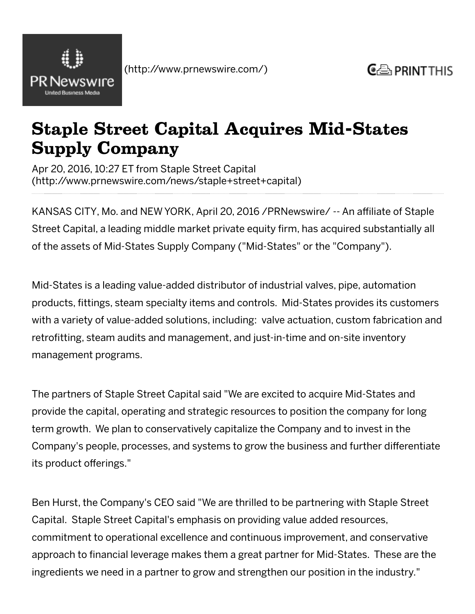

## Staple Street Capital Acquires Mid-States Supply Company

Apr 20, 2016, 10:27 ET from Staple Street Capital [\(http://www.prnewswire.com/news/staple+street+capital\)](http://www.prnewswire.com/news/staple+street+capital)

KANSAS CITY, Mo. and NEW YORK, April 20, 2016 /PRNewswire/ ‑‑ An affiliate of Staple Street Capital, a leading middle market private equity firm, has acquired substantially all of the assets of Mid‑States Supply Company ("Mid‑States" or the "Company").

Mid‑States is a leading value‑added distributor of industrial valves, pipe, automation products, fittings, steam specialty items and controls. Mid‑States provides its customers with a variety of value-added solutions, including: valve actuation, custom fabrication and retrofitting, steam audits and management, and just-in-time and on-site inventory management programs.

The partners of Staple Street Capital said "We are excited to acquire Mid‑States and provide the capital, operating and strategic resources to position the company for long term growth. We plan to conservatively capitalize the Company and to invest in the Company's people, processes, and systems to grow the business and further differentiate its product offerings."

Ben Hurst, the Company's CEO said "We are thrilled to be partnering with Staple Street Capital. Staple Street Capital's emphasis on providing value added resources, commitment to operational excellence and continuous improvement, and conservative approach to financial leverage makes them a great partner for Mid‑States. These are the ingredients we need in a partner to grow and strengthen our position in the industry."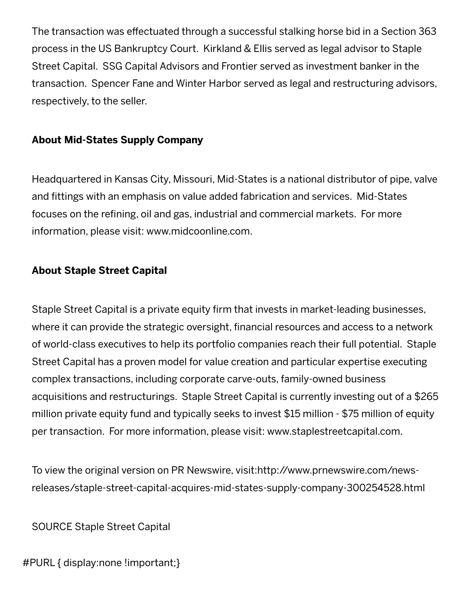The transaction was effectuated through a successful stalking horse bid in a Section 363 process in the US Bankruptcy Court. Kirkland & Ellis served as legal advisor to Staple Street Capital. SSG Capital Advisors and Frontier served as investment banker in the transaction. Spencer Fane and Winter Harbor served as legal and restructuring advisors, respectively, to the seller.

## About Mid‑States Supply Company

Headquartered in Kansas City, Missouri, Mid‑States is a national distributor of pipe, valve and fittings with an emphasis on value added fabrication and services. Mid‑States focuses on the refining, oil and gas, industrial and commercial markets. For more information, please visit: [www.midcoonline.com](javascript:void(0)).

## About Staple Street Capital

Staple Street Capital is a private equity firm that invests in market-leading businesses, where it can provide the strategic oversight, financial resources and access to a network of world‑class executives to help its portfolio companies reach their full potential. Staple Street Capital has a proven model for value creation and particular expertise executing complex transactions, including corporate carve‑outs, family‑owned business acquisitions and restructurings. Staple Street Capital is currently investing out of a \$265 million private equity fund and typically seeks to invest \$15 million ‑ \$75 million of equity per transaction. For more information, please visit: [www.staplestreetcapital.com](javascript:void(0)).

To view the original version on PR Newswire, visit:http://www.prnewswire.com/news‑ [releases/staple‑street‑capital‑acquires‑mid‑states‑supply‑company‑300254528.html](javascript:void(0))

SOURCE Staple Street Capital

#PURL { display:none !important;}